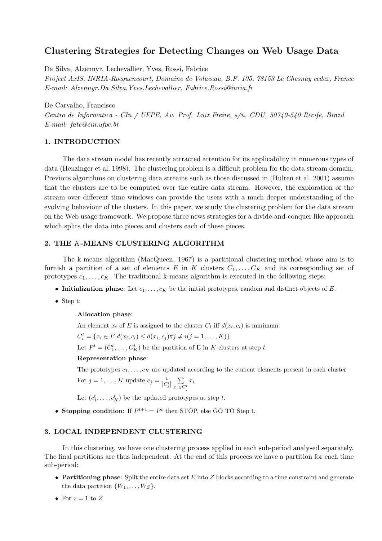# Clustering Strategies for Detecting Changes on Web Usage Data

Da Silva, Alzennyr, Lechevallier, Yves, Rossi, Fabrice

Project AxIS, INRIA-Rocquencourt, Domaine de Voluceau, B.P. 105, 78153 Le Chesnay cedex, France E-mail: Alzennyr.Da Silva,Yves.Lechevallier, Fabrice.Rossi@inria.fr

De Carvalho, Francisco

Centro de Informatica - CIn / UFPE, Av. Prof. Luiz Freire, s/n, CDU, 50740-540 Recife, Brazil E-mail: fatc@cin.ufpe.br

### 1. INTRODUCTION

The data stream model has recently attracted attention for its applicability in numerous types of data (Henzinger et al, 1998). The clustering problem is a difficult problem for the data stream domain. Previous algorithms on clustering data streams such as those discussed in (Hulten et al, 2001) assume that the clusters are to be computed over the entire data stream. However, the exploration of the stream over different time windows can provide the users with a much deeper understanding of the evolving behaviour of the clusters. In this paper, we study the clustering problem for the data stream on the Web usage framework. We propose three news strategies for a divide-and-conquer like approach which splits the data into pieces and clusters each of these pieces.

### 2. THE K-MEANS CLUSTERING ALGORITHM

The k-means algorithm (MacQueen, 1967) is a partitional clustering method whose aim is to furnish a partition of a set of elements E in K clusters  $C_1, \ldots, C_K$  and its corresponding set of prototypes  $c_1, \ldots, c_K$ . The traditional k-means algorithm is executed in the following steps:

- Initialization phase: Let  $c_1, \ldots, c_K$  be the initial prototypes, random and distinct objects of E.
- Step t:

### Allocation phase:

An element  $x_i$  of E is assigned to the cluster  $C_i$  iff  $d(x_i, c_i)$  is minimum:

 $C_i^t = \{x_i \in E | d(x_i, c_i) \leq d(x_i, c_j) \forall j \neq i(j = 1, ..., K)\}\$ 

Let  $P^t = (C_1^t, \ldots, C_K^t)$  be the partition of E in K clusters at step t.

#### Representation phase:

The prototypes  $c_1, \ldots, c_K$  are updated according to the current elements present in each cluster

For 
$$
j = 1, ..., K
$$
 update  $c_j = \frac{1}{|C_j^t|} \sum_{x_i \in C_j^t} x_i$ 

Let  $(c_1^t, \ldots, c_K^t)$  be the updated prototypes at step t.

• Stopping condition: If  $P^{t+1} = P^t$  then STOP, else GO TO Step t.

## 3. LOCAL INDEPENDENT CLUSTERING

In this clustering, we have one clustering process applied in each sub-period analysed separately. The final partitions are thus independent. At the end of this procces we have a partition for each time sub-period:

- Partitioning phase: Split the entire data set  $E$  into  $Z$  blocks according to a time constraint and generate the data partition  $\{W_1, \ldots, W_Z\}.$
- For  $z = 1$  to Z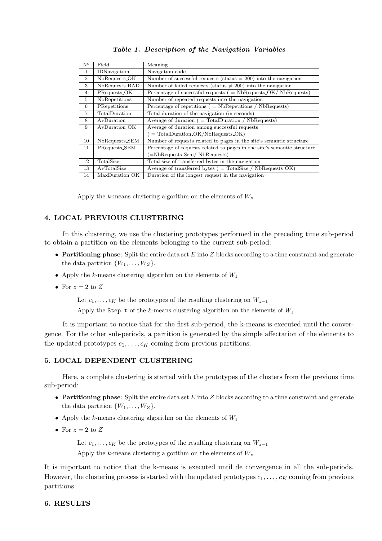| $N^o$          | Field          | Meaning                                                                  |
|----------------|----------------|--------------------------------------------------------------------------|
| 1              | IDNavigation   | Navigation code                                                          |
| $\overline{2}$ | NbRequests_OK  | Number of successful requests (status $= 200$ ) into the navigation      |
| 3              | NbRequests_BAD | Number of failed requests (status $\neq$ 200) into the navigation        |
| $\overline{4}$ | PRequests_OK   | Percentage of successful requests $($ = NbRequests $OK/$ NbRequests $)$  |
| 5              | NbRepetitions  | Number of repeated requests into the navigation                          |
| 6              | PRepetitions   | Percentage of repetitions $($ = NbRepetitions $/$ NbRequests)            |
| $\overline{7}$ | TotalDuration  | Total duration of the navigation (in seconds)                            |
| 8              | AvDuration     | Average of duration $($ = TotalDuration $/$ NbRequests)                  |
| 9              | AyDuration OK  | Average of duration among successful requests                            |
|                |                | $($ = TotalDuration_OK/NbRequests_OK)                                    |
| 10             | NbRequests_SEM | Number of requests related to pages in the site's semantic structure     |
| 11             | PRequests_SEM  | Percentage of requests related to pages in the site's semantic structure |
|                |                | =NbRequests_Sem/NbRequests)                                              |
| 12             | TotalSize      | Total size of transferred bytes in the navigation                        |
| 13             | AvTotalSize    | Average of transferred bytes $($ = TotalSize $/$ NbRequests_OK $)$       |
| 14             | MaxDuration_OK | Duration of the longest request in the navigation                        |

## Table 1. Description of the Navigation Variables

Apply the k-means clustering algorithm on the elements of  $W_z$ 

## 4. LOCAL PREVIOUS CLUSTERING

In this clustering, we use the clustering prototypes performed in the preceding time sub-period to obtain a partition on the elements belonging to the current sub-period:

- Partitioning phase: Split the entire data set  $E$  into  $Z$  blocks according to a time constraint and generate the data partition  $\{W_1, \ldots, W_Z\}.$
- Apply the *k*-means clustering algorithm on the elements of  $W_1$
- For  $z = 2$  to Z

Let  $c_1, \ldots, c_K$  be the prototypes of the resulting clustering on  $W_{z-1}$ 

Apply the Step t of the k-means clustering algorithm on the elements of  $W_z$ 

It is important to notice that for the first sub-period, the k-means is executed until the convergence. For the other sub-periods, a partition is generated by the simple affectation of the elements to the updated prototypes  $c_1, \ldots, c_K$  coming from previous partitions.

## 5. LOCAL DEPENDENT CLUSTERING

Here, a complete clustering is started with the prototypes of the clusters from the previous time sub-period:

- Partitioning phase: Split the entire data set  $E$  into  $Z$  blocks according to a time constraint and generate the data partition  $\{W_1, \ldots, W_Z\}.$
- Apply the  $k$ -means clustering algorithm on the elements of  $W_1$
- For  $z = 2$  to Z

Let  $c_1, \ldots, c_K$  be the prototypes of the resulting clustering on  $W_{z-1}$ 

Apply the k-means clustering algorithm on the elements of  $W_z$ 

It is important to notice that the k-means is executed until de convergence in all the sub-periods. However, the clustering process is started with the updated prototypes  $c_1, \ldots, c_K$  coming from previous partitions.

## 6. RESULTS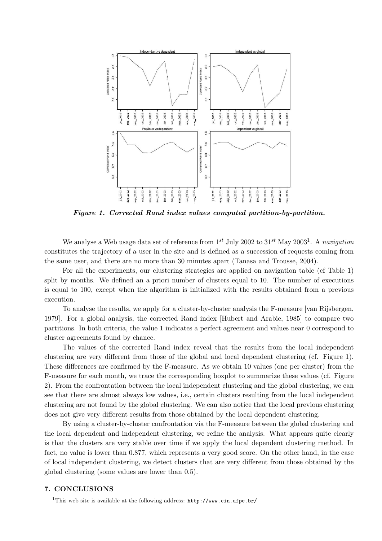

Figure 1. Corrected Rand index values computed partition-by-partition.

We analyse a Web usage data set of reference from  $1^{st}$  July 2002 to  $31^{st}$  May 2003<sup>1</sup>. A navigation constitutes the trajectory of a user in the site and is defined as a succession of requests coming from the same user, and there are no more than 30 minutes apart (Tanasa and Trousse, 2004).

For all the experiments, our clustering strategies are applied on navigation table (cf Table 1) split by months. We defined an a priori number of clusters equal to 10. The number of executions is equal to 100, except when the algorithm is initialized with the results obtained from a previous execution.

To analyse the results, we apply for a cluster-by-cluster analysis the F-measure [van Rijsbergen, 1979]. For a global analysis, the corrected Rand index [Hubert and Arabie, 1985] to compare two partitions. In both criteria, the value 1 indicates a perfect agreement and values near 0 correspond to cluster agreements found by chance.

The values of the corrected Rand index reveal that the results from the local independent clustering are very different from those of the global and local dependent clustering (cf. Figure 1). These differences are confirmed by the F-measure. As we obtain 10 values (one per cluster) from the F-measure for each month, we trace the corresponding boxplot to summarize these values (cf. Figure 2). From the confrontation between the local independent clustering and the global clustering, we can see that there are almost always low values, i.e., certain clusters resulting from the local independent clustering are not found by the global clustering. We can also notice that the local previous clustering does not give very different results from those obtained by the local dependent clustering.

By using a cluster-by-cluster confrontation via the F-measure between the global clustering and the local dependent and independent clustering, we refine the analysis. What appears quite clearly is that the clusters are very stable over time if we apply the local dependent clustering method. In fact, no value is lower than 0.877, which represents a very good score. On the other hand, in the case of local independent clustering, we detect clusters that are very different from those obtained by the global clustering (some values are lower than 0.5).

# 7. CONCLUSIONS

<sup>&</sup>lt;sup>1</sup>This web site is available at the following address:  $http://www.cin.upe.br/$